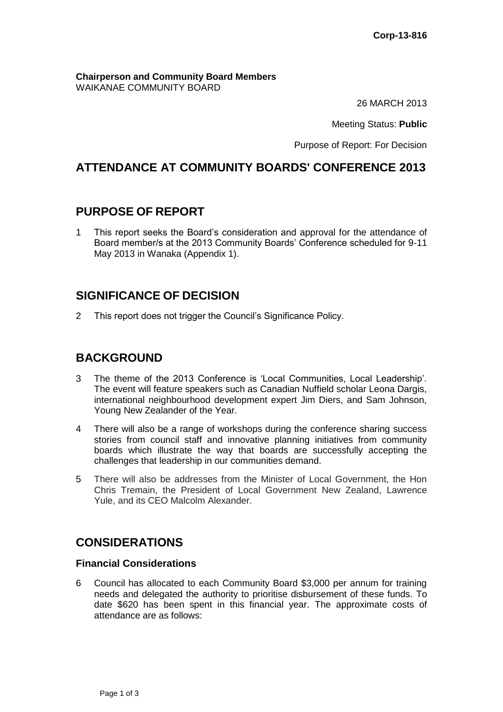**Chairperson and Community Board Members** WAIKANAE COMMUNITY BOARD

26 MARCH 2013

Meeting Status: **Public**

Purpose of Report: For Decision

# **ATTENDANCE AT COMMUNITY BOARDS' CONFERENCE 2013**

### **PURPOSE OF REPORT**

1 This report seeks the Board's consideration and approval for the attendance of Board member/s at the 2013 Community Boards' Conference scheduled for 9-11 May 2013 in Wanaka (Appendix 1).

# **SIGNIFICANCE OF DECISION**

2 This report does not trigger the Council's Significance Policy.

## **BACKGROUND**

- 3 The theme of the 2013 Conference is 'Local Communities, Local Leadership'. The event will feature speakers such as Canadian Nuffield scholar Leona Dargis, international neighbourhood development expert Jim Diers, and Sam Johnson, Young New Zealander of the Year.
- 4 There will also be a range of workshops during the conference sharing success stories from council staff and innovative planning initiatives from community boards which illustrate the way that boards are successfully accepting the challenges that leadership in our communities demand.
- 5 There will also be addresses from the Minister of Local Government, the Hon Chris Tremain, the President of Local Government New Zealand, Lawrence Yule, and its CEO Malcolm Alexander.

### **CONSIDERATIONS**

#### **Financial Considerations**

6 Council has allocated to each Community Board \$3,000 per annum for training needs and delegated the authority to prioritise disbursement of these funds. To date \$620 has been spent in this financial year. The approximate costs of attendance are as follows: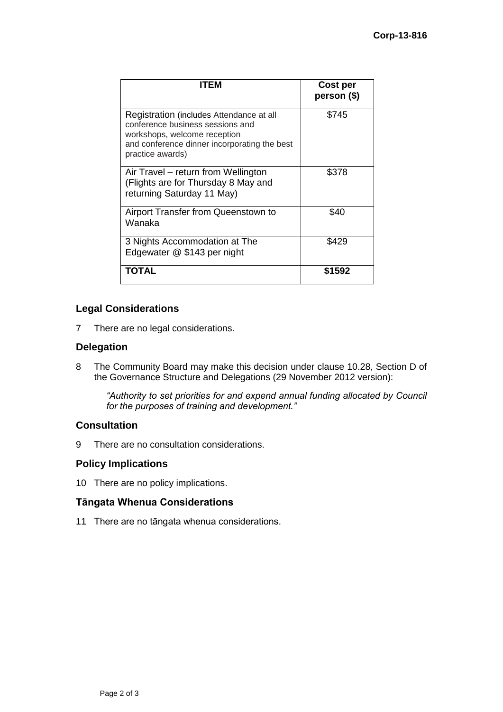| ITEM                                                                                                                                                                             | <b>Cost per</b><br>person (\$) |
|----------------------------------------------------------------------------------------------------------------------------------------------------------------------------------|--------------------------------|
| Registration (includes Attendance at all<br>conference business sessions and<br>workshops, welcome reception<br>and conference dinner incorporating the best<br>practice awards) | \$745                          |
| Air Travel – return from Wellington<br>(Flights are for Thursday 8 May and<br>returning Saturday 11 May)                                                                         | \$378                          |
| Airport Transfer from Queenstown to<br>Wanaka                                                                                                                                    | \$40                           |
| 3 Nights Accommodation at The<br>Edgewater @ \$143 per night                                                                                                                     | \$429                          |
| <b>TOTAL</b>                                                                                                                                                                     | \$1592                         |

### **Legal Considerations**

7 There are no legal considerations.

### **Delegation**

8 The Community Board may make this decision under clause 10.28, Section D of the Governance Structure and Delegations (29 November 2012 version):

*"Authority to set priorities for and expend annual funding allocated by Council for the purposes of training and development."* 

### **Consultation**

9 There are no consultation considerations.

#### **Policy Implications**

10 There are no policy implications.

#### **Tāngata Whenua Considerations**

11 There are no tāngata whenua considerations.